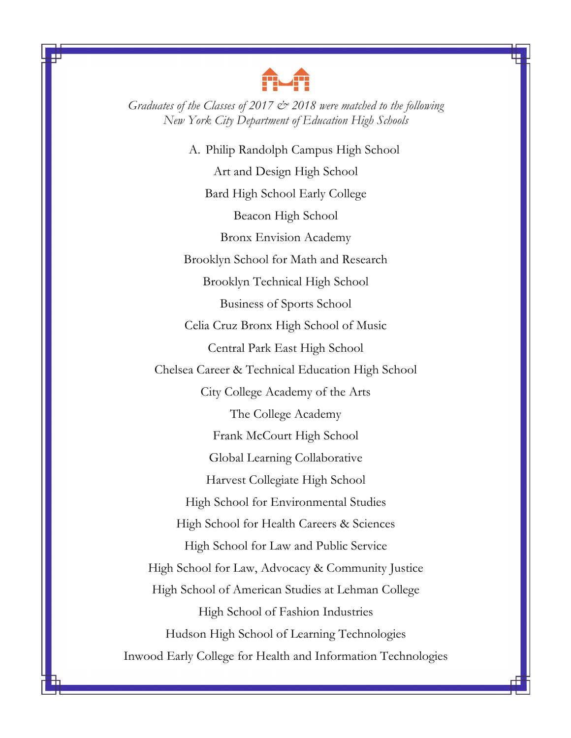

*Graduates of the Classes of 2017 & 2018 were matched to the following New York City Department of Education High Schools*

A. Philip Randolph Campus High School Art and Design High School Bard High School Early College Beacon High School Bronx Envision Academy Brooklyn School for Math and Research Brooklyn Technical High School Business of Sports School Celia Cruz Bronx High School of Music Central Park East High School Chelsea Career & Technical Education High School City College Academy of the Arts The College Academy Frank McCourt High School Global Learning Collaborative Harvest Collegiate High School High School for Environmental Studies High School for Health Careers & Sciences High School for Law and Public Service High School for Law, Advocacy & Community Justice High School of American Studies at Lehman College High School of Fashion Industries Hudson High School of Learning Technologies Inwood Early College for Health and Information Technologies